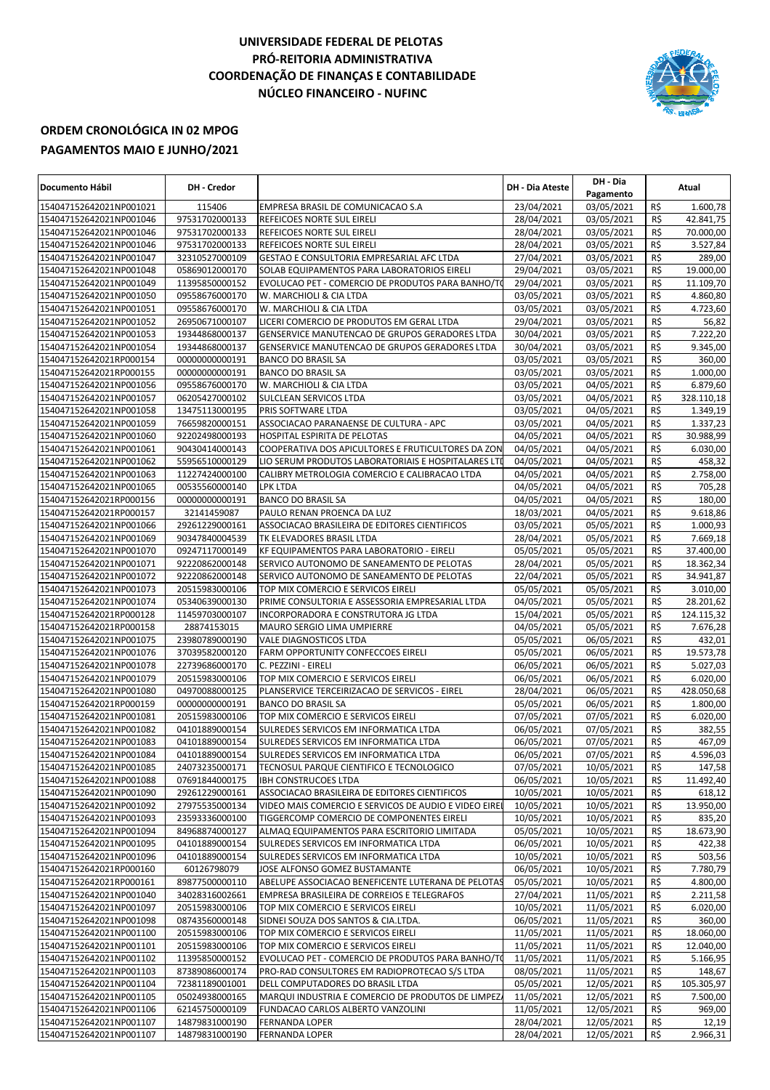## **UNIVERSIDADE FEDERAL DE PELOTAS PRÓ-REITORIA ADMINISTRATIVA COORDENAÇÃO DE FINANÇAS E CONTABILIDADE NÚCLEO FINANCEIRO - NUFINC**



## **ORDEM CRONOLÓGICA IN 02 MPOG PAGAMENTOS MAIO E JUNHO/2021**

| Documento Hábil                                    | <b>DH - Credor</b>               |                                                                                | <b>DH - Dia Ateste</b>   | DH - Dia<br>Pagamento    |                 | Atual                  |
|----------------------------------------------------|----------------------------------|--------------------------------------------------------------------------------|--------------------------|--------------------------|-----------------|------------------------|
| 154047152642021NP001021                            | 115406                           | EMPRESA BRASIL DE COMUNICACAO S.A                                              | 23/04/2021               | 03/05/2021               | R\$             | 1.600,78               |
| 154047152642021NP001046                            | 97531702000133                   | REFEICOES NORTE SUL EIRELI                                                     | 28/04/2021               | 03/05/2021               | R\$             | 42.841,75              |
| 154047152642021NP001046                            | 97531702000133                   | REFEICOES NORTE SUL EIRELI                                                     | 28/04/2021               | 03/05/2021               | R\$             | 70.000,00              |
| 154047152642021NP001046                            | 97531702000133                   | REFEICOES NORTE SUL EIRELI                                                     | 28/04/2021               | 03/05/2021               | R\$             | 3.527,84               |
| 154047152642021NP001047                            | 32310527000109                   | GESTAO E CONSULTORIA EMPRESARIAL AFC LTDA                                      | 27/04/2021               | 03/05/2021               | R\$             | 289,00                 |
| 154047152642021NP001048                            | 05869012000170                   | SOLAB EQUIPAMENTOS PARA LABORATORIOS EIRELI                                    | 29/04/2021               | 03/05/2021               | R\$             | 19.000,00              |
| 154047152642021NP001049                            | 11395850000152                   | EVOLUCAO PET - COMERCIO DE PRODUTOS PARA BANHO/TO                              | 29/04/2021               | 03/05/2021               | R\$             | 11.109,70              |
| 154047152642021NP001050                            | 09558676000170                   | W. MARCHIOLI & CIA LTDA                                                        | 03/05/2021               | 03/05/2021               | R\$             | 4.860,80               |
| 154047152642021NP001051                            | 09558676000170                   | W. MARCHIOLI & CIA LTDA                                                        | 03/05/2021               | 03/05/2021               | R\$             | 4.723,60               |
| 154047152642021NP001052                            | 26950671000107                   | LICERI COMERCIO DE PRODUTOS EM GERAL LTDA                                      | 29/04/2021               | 03/05/2021               | R\$             | 56,82                  |
| 154047152642021NP001053                            | 19344868000137                   | GENSERVICE MANUTENCAO DE GRUPOS GERADORES LTDA                                 | 30/04/2021               | 03/05/2021               | R\$             | 7.222,20               |
| 154047152642021NP001054                            | 19344868000137                   | GENSERVICE MANUTENCAO DE GRUPOS GERADORES LTDA                                 | 30/04/2021               | 03/05/2021               | R\$             | 9.345,00               |
| 154047152642021RP000154                            | 00000000000191                   | <b>BANCO DO BRASIL SA</b>                                                      | 03/05/2021               | 03/05/2021               | R\$             | 360,00                 |
| 154047152642021RP000155                            | 00000000000191                   | <b>BANCO DO BRASIL SA</b>                                                      | 03/05/2021               | 03/05/2021               | R\$             | 1.000,00               |
| 154047152642021NP001056<br>154047152642021NP001057 | 09558676000170                   | W. MARCHIOLI & CIA LTDA                                                        | 03/05/2021<br>03/05/2021 | 04/05/2021<br>04/05/2021 | R\$<br>R\$      | 6.879,60<br>328.110,18 |
| 154047152642021NP001058                            | 06205427000102<br>13475113000195 | SULCLEAN SERVICOS LTDA<br>PRIS SOFTWARE LTDA                                   | 03/05/2021               | 04/05/2021               | R\$             | 1.349,19               |
| 154047152642021NP001059                            | 76659820000151                   | ASSOCIACAO PARANAENSE DE CULTURA - APC                                         | 03/05/2021               | 04/05/2021               | R\$             | 1.337,23               |
| 154047152642021NP001060                            | 92202498000193                   | HOSPITAL ESPIRITA DE PELOTAS                                                   | 04/05/2021               | 04/05/2021               | R\$             | 30.988,99              |
| 154047152642021NP001061                            | 90430414000143                   | COOPERATIVA DOS APICULTORES E FRUTICULTORES DA ZON                             | 04/05/2021               | 04/05/2021               | R\$             | 6.030,00               |
| 154047152642021NP001062                            | 55956510000129                   | LIO SERUM PRODUTOS LABORATORIAIS E HOSPITALARES LTI                            | 04/05/2021               | 04/05/2021               | R\$             | 458,32                 |
| 154047152642021NP001063                            | 11227424000100                   | CALIBRY METROLOGIA COMERCIO E CALIBRACAO LTDA                                  | 04/05/2021               | 04/05/2021               | R\$             | 2.758,00               |
| 154047152642021NP001065                            | 00535560000140                   | <b>LPK LTDA</b>                                                                | 04/05/2021               | 04/05/2021               | R\$             | 705,28                 |
| 154047152642021RP000156                            | 00000000000191                   | <b>BANCO DO BRASIL SA</b>                                                      | 04/05/2021               | 04/05/2021               | R\$             | 180,00                 |
| 154047152642021RP000157                            | 32141459087                      | PAULO RENAN PROENCA DA LUZ                                                     | 18/03/2021               | 04/05/2021               | R\$             | 9.618,86               |
| 154047152642021NP001066                            | 29261229000161                   | ASSOCIACAO BRASILEIRA DE EDITORES CIENTIFICOS                                  | 03/05/2021               | 05/05/2021               | R\$             | 1.000,93               |
| 154047152642021NP001069                            | 90347840004539                   | TK ELEVADORES BRASIL LTDA                                                      | 28/04/2021               | 05/05/2021               | R\$             | 7.669,18               |
| 154047152642021NP001070                            | 09247117000149                   | KF EQUIPAMENTOS PARA LABORATORIO - EIRELI                                      | 05/05/2021               | 05/05/2021               | R\$             | 37.400,00              |
| 154047152642021NP001071                            | 92220862000148                   | SERVICO AUTONOMO DE SANEAMENTO DE PELOTAS                                      | 28/04/2021               | 05/05/2021               | R\$             | 18.362,34              |
| 154047152642021NP001072                            | 92220862000148                   | SERVICO AUTONOMO DE SANEAMENTO DE PELOTAS                                      | 22/04/2021               | 05/05/2021               | R\$             | 34.941,87              |
| 154047152642021NP001073                            | 20515983000106                   | TOP MIX COMERCIO E SERVICOS EIRELI                                             | 05/05/2021               | 05/05/2021               | R\$             | 3.010,00               |
| 154047152642021NP001074                            | 05340639000130                   | PRIME CONSULTORIA E ASSESSORIA EMPRESARIAL LTDA                                | 04/05/2021               | 05/05/2021               | R\$             | 28.201,62              |
| 154047152642021RP000128                            | 11459703000107                   | INCORPORADORA E CONSTRUTORA JG LTDA                                            | 15/04/2021               | 05/05/2021               | R\$             | 124.115,32             |
| 154047152642021RP000158                            | 28874153015                      | MAURO SERGIO LIMA UMPIERRE                                                     | 04/05/2021               | 05/05/2021               | R\$             | 7.676,28               |
| 154047152642021NP001075                            | 23980789000190                   | VALE DIAGNOSTICOS LTDA                                                         | 05/05/2021               | 06/05/2021               | R\$             | 432,01                 |
| 154047152642021NP001076                            | 37039582000120                   | FARM OPPORTUNITY CONFECCOES EIRELI                                             | 05/05/2021               | 06/05/2021               | R\$             | 19.573,78              |
| 154047152642021NP001078                            | 22739686000170                   | C. PEZZINI - EIRELI                                                            | 06/05/2021               | 06/05/2021               | R\$             | 5.027,03               |
| 154047152642021NP001079                            | 20515983000106                   | TOP MIX COMERCIO E SERVICOS EIRELI                                             | 06/05/2021               | 06/05/2021               | R\$             | 6.020,00               |
| 154047152642021NP001080                            | 04970088000125                   | PLANSERVICE TERCEIRIZACAO DE SERVICOS - EIREL                                  | 28/04/2021               | 06/05/2021               | R\$             | 428.050,68             |
| 154047152642021RP000159                            | 00000000000191                   | <b>BANCO DO BRASIL SA</b>                                                      | 05/05/2021               | 06/05/2021               | R\$             | 1.800,00               |
| 154047152642021NP001081                            | 20515983000106                   | TOP MIX COMERCIO E SERVICOS EIRELI                                             | 07/05/2021               | 07/05/2021               | R\$             | 6.020,00               |
| 154047152642021NP001082                            | 04101889000154                   | SULREDES SERVICOS EM INFORMATICA LTDA                                          | 06/05/2021               | 07/05/2021               | R\$             | 382,55                 |
| 154047152642021NP001083<br>154047152642021NP001084 | 04101889000154                   | SULREDES SERVICOS EM INFORMATICA LTDA<br>SULREDES SERVICOS EM INFORMATICA LTDA | 06/05/2021<br>06/05/2021 | 07/05/2021<br>07/05/2021 | R\$<br>$R\zeta$ | 467,09<br>4.596,03     |
| 154047152642021NP001085                            | 04101889000154<br>24073235000171 | TECNOSUL PARQUE CIENTIFICO E TECNOLOGICO                                       | 07/05/2021               | 10/05/2021               | R\$             | 147,58                 |
| 154047152642021NP001088                            | 07691844000175                   | <b>IBH CONSTRUCOES LTDA</b>                                                    | 06/05/2021               | 10/05/2021               | R\$             | 11.492,40              |
| 154047152642021NP001090                            | 29261229000161                   | ASSOCIACAO BRASILEIRA DE EDITORES CIENTIFICOS                                  | 10/05/2021               | 10/05/2021               | R\$             | 618,12                 |
| 154047152642021NP001092                            | 27975535000134                   | VIDEO MAIS COMERCIO E SERVICOS DE AUDIO E VIDEO EIRE                           | 10/05/2021               | 10/05/2021               | R\$             | 13.950,00              |
| 154047152642021NP001093                            | 23593336000100                   | TIGGERCOMP COMERCIO DE COMPONENTES EIRELI                                      | 10/05/2021               | 10/05/2021               | R\$             | 835,20                 |
| 154047152642021NP001094                            | 84968874000127                   | ALMAQ EQUIPAMENTOS PARA ESCRITORIO LIMITADA                                    | 05/05/2021               | 10/05/2021               | R\$             | 18.673,90              |
| 154047152642021NP001095                            | 04101889000154                   | SULREDES SERVICOS EM INFORMATICA LTDA                                          | 06/05/2021               | 10/05/2021               | R\$             | 422,38                 |
| 154047152642021NP001096                            | 04101889000154                   | SULREDES SERVICOS EM INFORMATICA LTDA                                          | 10/05/2021               | 10/05/2021               | R\$             | 503,56                 |
| 154047152642021RP000160                            | 60126798079                      | JOSE ALFONSO GOMEZ BUSTAMANTE                                                  | 06/05/2021               | 10/05/2021               | R\$             | 7.780,79               |
| 154047152642021RP000161                            | 89877500000110                   | ABELUPE ASSOCIACAO BENEFICENTE LUTERANA DE PELOTAS                             | 05/05/2021               | 10/05/2021               | R\$             | 4.800,00               |
| 154047152642021NP001040                            | 34028316002661                   | EMPRESA BRASILEIRA DE CORREIOS E TELEGRAFOS                                    | 27/04/2021               | 11/05/2021               | R\$             | 2.211,58               |
| 154047152642021NP001097                            | 20515983000106                   | TOP MIX COMERCIO E SERVICOS EIRELI                                             | 10/05/2021               | 11/05/2021               | R\$             | 6.020,00               |
| 154047152642021NP001098                            | 08743560000148                   | SIDNEI SOUZA DOS SANTOS & CIA.LTDA.                                            | 06/05/2021               | 11/05/2021               | R\$             | 360,00                 |
| 154047152642021NP001100                            | 20515983000106                   | TOP MIX COMERCIO E SERVICOS EIRELI                                             | 11/05/2021               | 11/05/2021               | R\$             | 18.060,00              |
| 154047152642021NP001101                            | 20515983000106                   | TOP MIX COMERCIO E SERVICOS EIRELI                                             | 11/05/2021               | 11/05/2021               | R\$             | 12.040,00              |
| 154047152642021NP001102                            | 11395850000152                   | EVOLUCAO PET - COMERCIO DE PRODUTOS PARA BANHO/TO                              | 11/05/2021               | 11/05/2021               | R\$             | 5.166,95               |
| 154047152642021NP001103                            | 87389086000174                   | PRO-RAD CONSULTORES EM RADIOPROTECAO S/S LTDA                                  | 08/05/2021               | 11/05/2021               | R\$             | 148,67                 |
| 154047152642021NP001104                            | 72381189001001                   | DELL COMPUTADORES DO BRASIL LTDA                                               | 05/05/2021               | 12/05/2021               | R\$             | 105.305,97             |
| 154047152642021NP001105                            | 05024938000165                   | MARQUI INDUSTRIA E COMERCIO DE PRODUTOS DE LIMPEZ                              | 11/05/2021               | 12/05/2021               | R\$             | 7.500,00               |
| 154047152642021NP001106                            | 62145750000109                   | FUNDACAO CARLOS ALBERTO VANZOLINI                                              | 11/05/2021               | 12/05/2021               | R\$             | 969,00                 |
| 154047152642021NP001107                            | 14879831000190                   | <b>FERNANDA LOPER</b>                                                          | 28/04/2021               | 12/05/2021               | R\$             | 12,19                  |
| 154047152642021NP001107                            | 14879831000190                   | <b>FERNANDA LOPER</b>                                                          | 28/04/2021               | 12/05/2021               | R\$             | 2.966,31               |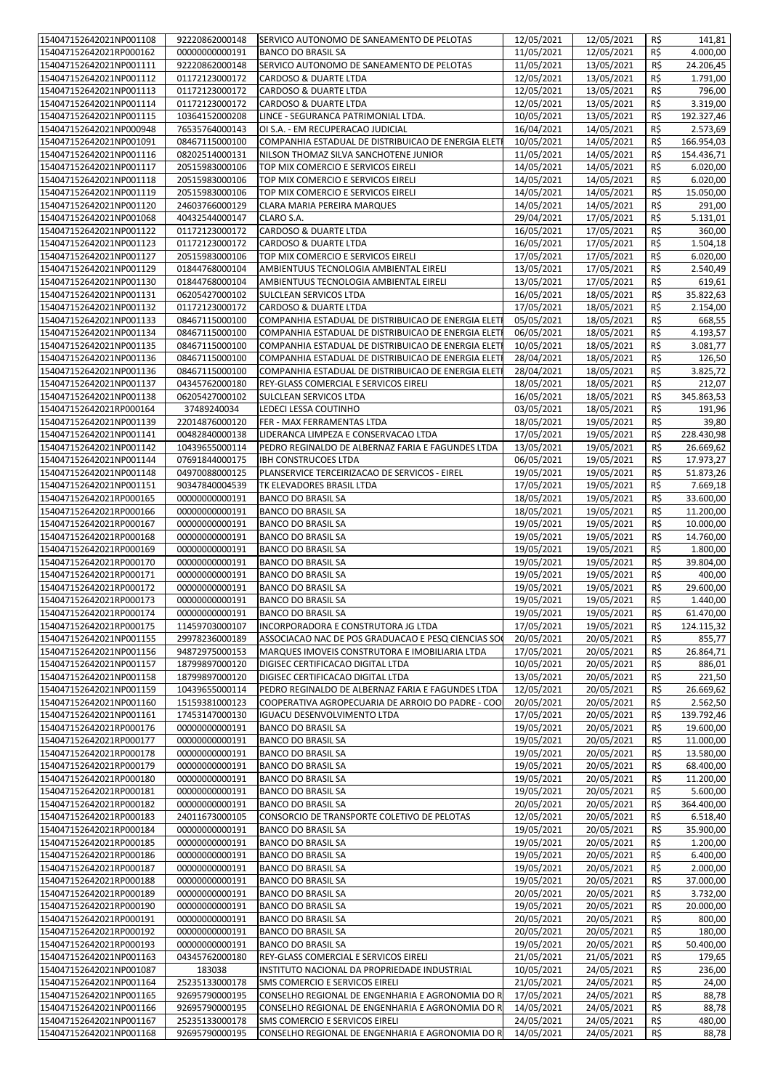| 154047152642021NP001108                            | 92220862000148                   | SERVICO AUTONOMO DE SANEAMENTO DE PELOTAS                                                                 | 12/05/2021               | 12/05/2021               | R\$             | 141,81                               |
|----------------------------------------------------|----------------------------------|-----------------------------------------------------------------------------------------------------------|--------------------------|--------------------------|-----------------|--------------------------------------|
| 154047152642021RP000162                            | 00000000000191                   | <b>BANCO DO BRASIL SA</b>                                                                                 | 11/05/2021               | 12/05/2021               | R\$             | 4.000,00                             |
| 154047152642021NP001111                            | 92220862000148                   | SERVICO AUTONOMO DE SANEAMENTO DE PELOTAS                                                                 | 11/05/2021               | 13/05/2021               | R\$             | 24.206,45                            |
| 154047152642021NP001112                            | 01172123000172                   | CARDOSO & DUARTE LTDA                                                                                     | 12/05/2021               | 13/05/2021               | R\$             | 1.791,00                             |
| 154047152642021NP001113                            | 01172123000172                   | CARDOSO & DUARTE LTDA                                                                                     | 12/05/2021               | 13/05/2021               | R\$             | 796,00                               |
| 154047152642021NP001114<br>154047152642021NP001115 | 01172123000172<br>10364152000208 | CARDOSO & DUARTE LTDA<br>LINCE - SEGURANCA PATRIMONIAL LTDA.                                              | 12/05/2021<br>10/05/2021 | 13/05/2021<br>13/05/2021 | R\$<br>R\$      | 3.319,00<br>192.327,46               |
| 154047152642021NP000948                            | 76535764000143                   | OI S.A. - EM RECUPERACAO JUDICIAL                                                                         | 16/04/2021               | 14/05/2021               | R\$             | 2.573,69                             |
| 154047152642021NP001091                            | 08467115000100                   | COMPANHIA ESTADUAL DE DISTRIBUICAO DE ENERGIA ELET                                                        | 10/05/2021               | 14/05/2021               | R\$             | 166.954,03                           |
| 154047152642021NP001116                            | 08202514000131                   | NILSON THOMAZ SILVA SANCHOTENE JUNIOR                                                                     | 11/05/2021               | 14/05/2021               | R\$             | 154.436,71                           |
| 154047152642021NP001117                            | 20515983000106                   | TOP MIX COMERCIO E SERVICOS EIRELI                                                                        | 14/05/2021               | 14/05/2021               | R\$             | 6.020,00                             |
| 154047152642021NP001118                            | 20515983000106                   | TOP MIX COMERCIO E SERVICOS EIRELI                                                                        | 14/05/2021               | 14/05/2021               | R\$             | 6.020,00                             |
| 154047152642021NP001119                            | 20515983000106                   | TOP MIX COMERCIO E SERVICOS EIRELI                                                                        | 14/05/2021               | 14/05/2021               | R\$             | 15.050,00                            |
| 154047152642021NP001120                            | 24603766000129                   | CLARA MARIA PEREIRA MARQUES                                                                               | 14/05/2021               | 14/05/2021               | R\$             | 291,00                               |
| 154047152642021NP001068                            | 40432544000147                   | CLARO S.A.                                                                                                | 29/04/2021               | 17/05/2021               | R\$             | 5.131,01                             |
| 154047152642021NP001122                            | 01172123000172                   | CARDOSO & DUARTE LTDA                                                                                     | 16/05/2021               | 17/05/2021               | R\$             | 360,00                               |
| 154047152642021NP001123                            | 01172123000172                   | CARDOSO & DUARTE LTDA                                                                                     | 16/05/2021               | 17/05/2021               | R\$             | 1.504,18                             |
| 154047152642021NP001127                            | 20515983000106                   | TOP MIX COMERCIO E SERVICOS EIRELI                                                                        | 17/05/2021               | 17/05/2021               | R\$             | 6.020,00                             |
| 154047152642021NP001129                            | 01844768000104                   | AMBIENTUUS TECNOLOGIA AMBIENTAL EIRELI                                                                    | 13/05/2021               | 17/05/2021               | R\$             | 2.540,49                             |
| 154047152642021NP001130                            | 01844768000104                   | AMBIENTUUS TECNOLOGIA AMBIENTAL EIRELI                                                                    | 13/05/2021               | 17/05/2021               | R\$             | 619,61                               |
| 154047152642021NP001131                            | 06205427000102                   | SULCLEAN SERVICOS LTDA                                                                                    | 16/05/2021               | 18/05/2021               | R\$             | 35.822,63                            |
| 154047152642021NP001132                            | 01172123000172                   | CARDOSO & DUARTE LTDA                                                                                     | 17/05/2021               | 18/05/2021               | R\$             | 2.154,00                             |
| 154047152642021NP001133                            | 08467115000100                   | COMPANHIA ESTADUAL DE DISTRIBUICAO DE ENERGIA ELET                                                        | 05/05/2021               | 18/05/2021               | R\$             | 668,55                               |
| 154047152642021NP001134                            | 08467115000100                   | COMPANHIA ESTADUAL DE DISTRIBUICAO DE ENERGIA ELETI                                                       | 06/05/2021               | 18/05/2021               | R\$             | 4.193,57                             |
| 154047152642021NP001135                            | 08467115000100                   | COMPANHIA ESTADUAL DE DISTRIBUICAO DE ENERGIA ELETI                                                       | 10/05/2021               | 18/05/2021               | R\$             | 3.081,77                             |
| 154047152642021NP001136<br>154047152642021NP001136 | 08467115000100                   | COMPANHIA ESTADUAL DE DISTRIBUICAO DE ENERGIA ELETI<br>COMPANHIA ESTADUAL DE DISTRIBUICAO DE ENERGIA ELET | 28/04/2021               | 18/05/2021               | R\$             | 126,50                               |
| 154047152642021NP001137                            | 08467115000100<br>04345762000180 | REY-GLASS COMERCIAL E SERVICOS EIRELI                                                                     | 28/04/2021<br>18/05/2021 | 18/05/2021               | R\$<br>R\$      | 3.825,72                             |
| 154047152642021NP001138                            | 06205427000102                   | <b>SULCLEAN SERVICOS LTDA</b>                                                                             | 16/05/2021               | 18/05/2021<br>18/05/2021 | R\$             | 212,07<br>345.863,53                 |
| 154047152642021RP000164                            | 37489240034                      | LEDECI LESSA COUTINHO                                                                                     | 03/05/2021               | 18/05/2021               | R\$             | 191,96                               |
| 154047152642021NP001139                            | 22014876000120                   | FER - MAX FERRAMENTAS LTDA                                                                                | 18/05/2021               | 19/05/2021               | R\$             | 39,80                                |
| 154047152642021NP001141                            | 00482840000138                   | LIDERANCA LIMPEZA E CONSERVACAO LTDA                                                                      | 17/05/2021               | 19/05/2021               | R\$             | 228.430,98                           |
| 154047152642021NP001142                            | 10439655000114                   | PEDRO REGINALDO DE ALBERNAZ FARIA E FAGUNDES LTDA                                                         | 13/05/2021               | 19/05/2021               | R\$             | 26.669,62                            |
| 154047152642021NP001144                            | 07691844000175                   | <b>IBH CONSTRUCOES LTDA</b>                                                                               | 06/05/2021               | 19/05/2021               | R\$             | 17.973,27                            |
| 154047152642021NP001148                            | 04970088000125                   | PLANSERVICE TERCEIRIZACAO DE SERVICOS - EIREL                                                             | 19/05/2021               | 19/05/2021               | R\$             | 51.873,26                            |
| 154047152642021NP001151                            | 90347840004539                   | TK ELEVADORES BRASIL LTDA                                                                                 | 17/05/2021               | 19/05/2021               | R\$             | 7.669,18                             |
| 154047152642021RP000165                            | 00000000000191                   | <b>BANCO DO BRASIL SA</b>                                                                                 | 18/05/2021               | 19/05/2021               | R\$             | 33.600,00                            |
| 154047152642021RP000166                            | 00000000000191                   | <b>BANCO DO BRASIL SA</b>                                                                                 | 18/05/2021               | 19/05/2021               | R\$             | 11.200,00                            |
| 154047152642021RP000167                            | 00000000000191                   | <b>BANCO DO BRASIL SA</b>                                                                                 | 19/05/2021               | 19/05/2021               | R\$             | 10.000,00                            |
| 154047152642021RP000168                            | 00000000000191                   | <b>BANCO DO BRASIL SA</b>                                                                                 | 19/05/2021               | 19/05/2021               | R\$             | 14.760,00                            |
| 154047152642021RP000169                            | 00000000000191                   | <b>BANCO DO BRASIL SA</b>                                                                                 | 19/05/2021               | 19/05/2021               | R\$             | 1.800,00                             |
| 154047152642021RP000170                            | 00000000000191                   | <b>BANCO DO BRASIL SA</b>                                                                                 | 19/05/2021               | 19/05/2021               | R\$             | 39.804,00                            |
| 154047152642021RP000171                            | 00000000000191                   | <b>BANCO DO BRASIL SA</b>                                                                                 | 19/05/2021               | 19/05/2021               | R\$             | 400,00                               |
| 154047152642021RP000172                            | 00000000000191                   | <b>BANCO DO BRASIL SA</b>                                                                                 | 19/05/2021               | 19/05/2021               | R\$             | 29.600,00                            |
| 154047152642021RP000173                            | 00000000000191                   | <b>BANCO DO BRASIL SA</b><br><b>BANCO DO BRASIL SA</b>                                                    | 19/05/2021<br>19/05/2021 | 19/05/2021               | R\$<br>$R\zeta$ | 1.440,00                             |
| 154047152642021RP000174<br>154047152642021RP000175 | 00000000000191<br>11459703000107 | INCORPORADORA E CONSTRUTORA JG LTDA                                                                       | 17/05/2021               | 19/05/2021<br>19/05/2021 |                 | $\overline{61.47}0,00$<br>124.115,32 |
| 154047152642021NP001155                            | 29978236000189                   | ASSOCIACAO NAC DE POS GRADUACAO E PESQ CIENCIAS SO                                                        | 20/05/2021               | 20/05/2021               | R\$<br>R\$      | 855,77                               |
| 154047152642021NP001156                            | 94872975000153                   | MARQUES IMOVEIS CONSTRUTORA E IMOBILIARIA LTDA                                                            | 17/05/2021               | 20/05/2021               | R\$             | 26.864,71                            |
| 154047152642021NP001157                            | 18799897000120                   | DIGISEC CERTIFICACAO DIGITAL LTDA                                                                         | 10/05/2021               | 20/05/2021               | R\$             | 886,01                               |
| 154047152642021NP001158                            | 18799897000120                   | DIGISEC CERTIFICACAO DIGITAL LTDA                                                                         | 13/05/2021               | 20/05/2021               | R\$             | 221,50                               |
| 154047152642021NP001159                            | 10439655000114                   | PEDRO REGINALDO DE ALBERNAZ FARIA E FAGUNDES LTDA                                                         | 12/05/2021               | 20/05/2021               | R\$             | 26.669,62                            |
| 154047152642021NP001160                            | 15159381000123                   | COOPERATIVA AGROPECUARIA DE ARROIO DO PADRE - COO                                                         | 20/05/2021               | 20/05/2021               | R\$             | 2.562,50                             |
| 154047152642021NP001161                            | 17453147000130                   | <b>IGUACU DESENVOLVIMENTO LTDA</b>                                                                        | 17/05/2021               | 20/05/2021               | R\$             | 139.792,46                           |
| 154047152642021RP000176                            | 00000000000191                   | <b>BANCO DO BRASIL SA</b>                                                                                 | 19/05/2021               | 20/05/2021               | R\$             | 19.600,00                            |
| 154047152642021RP000177                            | 00000000000191                   | <b>BANCO DO BRASIL SA</b>                                                                                 | 19/05/2021               | 20/05/2021               | R\$             | 11.000,00                            |
| 154047152642021RP000178                            | 00000000000191                   | <b>BANCO DO BRASIL SA</b>                                                                                 | 19/05/2021               | 20/05/2021               | R\$             | 13.580,00                            |
| 154047152642021RP000179                            | 00000000000191                   | <b>BANCO DO BRASIL SA</b>                                                                                 | 19/05/2021               | 20/05/2021               | R\$             | 68.400,00                            |
| 154047152642021RP000180                            | 00000000000191                   | BANCO DO BRASIL SA                                                                                        | 19/05/2021               | 20/05/2021               | R\$             | 11.200,00                            |
| 154047152642021RP000181                            | 00000000000191                   | <b>BANCO DO BRASIL SA</b>                                                                                 | 19/05/2021               | 20/05/2021               | R\$             | 5.600,00                             |
| 154047152642021RP000182                            | 00000000000191                   | <b>BANCO DO BRASIL SA</b>                                                                                 | 20/05/2021               | 20/05/2021               | R\$             | 364.400,00                           |
| 154047152642021RP000183                            | 24011673000105                   | CONSORCIO DE TRANSPORTE COLETIVO DE PELOTAS                                                               | 12/05/2021               | 20/05/2021               | R\$             | 6.518,40                             |
| 154047152642021RP000184                            | 00000000000191                   | <b>BANCO DO BRASIL SA</b>                                                                                 | 19/05/2021               | 20/05/2021               | R\$             | 35.900,00<br>1.200,00                |
| 154047152642021RP000185                            | 00000000000191                   | <b>BANCO DO BRASIL SA</b>                                                                                 | 19/05/2021               | 20/05/2021               | R\$             |                                      |
| 154047152642021RP000186<br>154047152642021RP000187 | 00000000000191<br>00000000000191 | <b>BANCO DO BRASIL SA</b><br><b>BANCO DO BRASIL SA</b>                                                    | 19/05/2021<br>19/05/2021 | 20/05/2021<br>20/05/2021 | R\$<br>R\$      | 6.400,00<br>2.000,00                 |
| 154047152642021RP000188                            | 00000000000191                   | <b>BANCO DO BRASIL SA</b>                                                                                 | 19/05/2021               | 20/05/2021               | R\$             | 37.000,00                            |
| 154047152642021RP000189                            | 00000000000191                   | <b>BANCO DO BRASIL SA</b>                                                                                 | 20/05/2021               | 20/05/2021               | R\$             | $\overline{3.732,00}$                |
| 154047152642021RP000190                            | 00000000000191                   | <b>BANCO DO BRASIL SA</b>                                                                                 | 19/05/2021               | 20/05/2021               | R\$             | 20.000,00                            |
| 154047152642021RP000191                            | 00000000000191                   | <b>BANCO DO BRASIL SA</b>                                                                                 | 20/05/2021               | 20/05/2021               | R\$             | 800,00                               |
| 154047152642021RP000192                            | 00000000000191                   | <b>BANCO DO BRASIL SA</b>                                                                                 | 20/05/2021               | 20/05/2021               | R\$             | 180,00                               |
| 154047152642021RP000193                            | 00000000000191                   | <b>BANCO DO BRASIL SA</b>                                                                                 | 19/05/2021               | 20/05/2021               | R\$             | 50.400,00                            |
| 154047152642021NP001163                            | 04345762000180                   | REY-GLASS COMERCIAL E SERVICOS EIRELI                                                                     | 21/05/2021               | 21/05/2021               | R\$             | 179,65                               |
| 154047152642021NP001087                            | 183038                           | INSTITUTO NACIONAL DA PROPRIEDADE INDUSTRIAL                                                              | 10/05/2021               | 24/05/2021               | R\$             | 236,00                               |
| 154047152642021NP001164                            | 25235133000178                   | SMS COMERCIO E SERVICOS EIRELI                                                                            | 21/05/2021               | 24/05/2021               | R\$             | 24,00                                |
| 154047152642021NP001165                            | 92695790000195                   | CONSELHO REGIONAL DE ENGENHARIA E AGRONOMIA DO R                                                          | 17/05/2021               | 24/05/2021               | R\$             | 88,78                                |
| 154047152642021NP001166                            | 92695790000195                   | CONSELHO REGIONAL DE ENGENHARIA E AGRONOMIA DO R                                                          | 14/05/2021               | 24/05/2021               | R\$             | 88,78                                |
| 154047152642021NP001167                            | 25235133000178                   | SMS COMERCIO E SERVICOS EIRELI                                                                            | 24/05/2021               | 24/05/2021               | R\$             | 480,00                               |
| 154047152642021NP001168                            | 92695790000195                   | CONSELHO REGIONAL DE ENGENHARIA E AGRONOMIA DO R                                                          | 14/05/2021               | 24/05/2021               | R\$             | 88,78                                |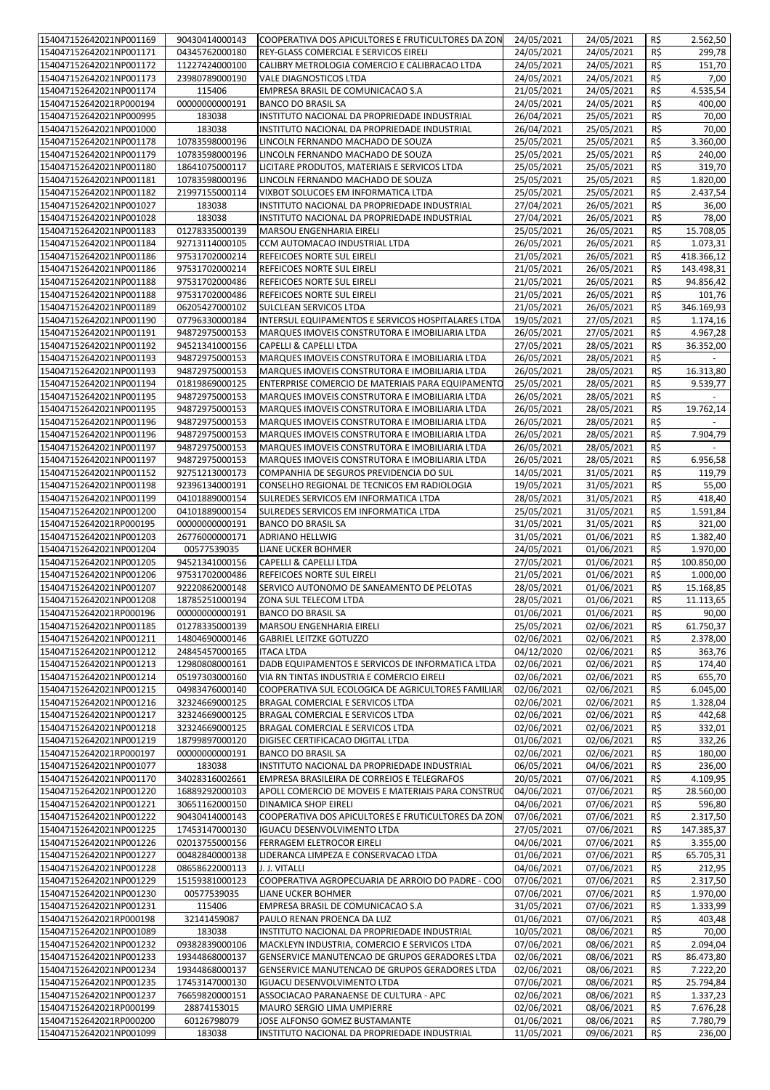| 154047152642021NP001169                            |                       |                                                                               |                          |                          |            | 2.562,50           |
|----------------------------------------------------|-----------------------|-------------------------------------------------------------------------------|--------------------------|--------------------------|------------|--------------------|
|                                                    | 90430414000143        | COOPERATIVA DOS APICULTORES E FRUTICULTORES DA ZON                            | 24/05/2021               | 24/05/2021               | R\$        |                    |
| 154047152642021NP001171                            | 04345762000180        | REY-GLASS COMERCIAL E SERVICOS EIRELI                                         | 24/05/2021               | 24/05/2021               | R\$        | 299,78             |
| 154047152642021NP001172                            | 11227424000100        | CALIBRY METROLOGIA COMERCIO E CALIBRACAO LTDA                                 | 24/05/2021               | 24/05/2021               | R\$        | 151,70             |
|                                                    |                       |                                                                               |                          |                          |            |                    |
| 154047152642021NP001173                            | 23980789000190        | <b>VALE DIAGNOSTICOS LTDA</b>                                                 | 24/05/2021               | 24/05/2021               | R\$        | 7,00               |
| 154047152642021NP001174                            | 115406                | EMPRESA BRASIL DE COMUNICACAO S.A                                             | 21/05/2021               | 24/05/2021               | R\$        | 4.535,54           |
| 154047152642021RP000194                            | 00000000000191        | <b>BANCO DO BRASIL SA</b>                                                     | 24/05/2021               | 24/05/2021               | R\$        | 400,00             |
|                                                    |                       |                                                                               |                          |                          |            |                    |
| 154047152642021NP000995                            | 183038                | INSTITUTO NACIONAL DA PROPRIEDADE INDUSTRIAL                                  | 26/04/2021               | 25/05/2021               | R\$        | 70,00              |
| 154047152642021NP001000                            | 183038                | INSTITUTO NACIONAL DA PROPRIEDADE INDUSTRIAL                                  | 26/04/2021               | 25/05/2021               | R\$        | 70,00              |
| 154047152642021NP001178                            | 10783598000196        | LINCOLN FERNANDO MACHADO DE SOUZA                                             | 25/05/2021               | 25/05/2021               | R\$        | 3.360,00           |
|                                                    |                       |                                                                               |                          |                          |            |                    |
| 154047152642021NP001179                            | 10783598000196        | LINCOLN FERNANDO MACHADO DE SOUZA                                             | 25/05/2021               | 25/05/2021               | R\$        | 240,00             |
| 154047152642021NP001180                            | 18641075000117        | LICITARE PRODUTOS, MATERIAIS E SERVICOS LTDA                                  | 25/05/2021               | 25/05/2021               | R\$        | 319,70             |
|                                                    |                       |                                                                               |                          |                          |            |                    |
| 154047152642021NP001181                            | 10783598000196        | LINCOLN FERNANDO MACHADO DE SOUZA                                             | 25/05/2021               | 25/05/2021               | R\$        | 1.820,00           |
| 154047152642021NP001182                            | 21997155000114        | VIXBOT SOLUCOES EM INFORMATICA LTDA                                           | 25/05/2021               | 25/05/2021               | R\$        | 2.437,54           |
| 154047152642021NP001027                            | 183038                | INSTITUTO NACIONAL DA PROPRIEDADE INDUSTRIAL                                  | 27/04/2021               | 26/05/2021               | R\$        | 36,00              |
|                                                    |                       |                                                                               |                          |                          |            |                    |
| 154047152642021NP001028                            | 183038                | INSTITUTO NACIONAL DA PROPRIEDADE INDUSTRIAL                                  | 27/04/2021               | 26/05/2021               | R\$        | 78,00              |
| 154047152642021NP001183                            | 01278335000139        | MARSOU ENGENHARIA EIRELI                                                      | 25/05/2021               | 26/05/2021               | R\$        | 15.708,05          |
| 154047152642021NP001184                            |                       | CCM AUTOMACAO INDUSTRIAL LTDA                                                 | 26/05/2021               | 26/05/2021               | R\$        | 1.073,31           |
|                                                    | 92713114000105        |                                                                               |                          |                          |            |                    |
| 154047152642021NP001186                            | 97531702000214        | REFEICOES NORTE SUL EIRELI                                                    | 21/05/2021               | 26/05/2021               | R\$        | 418.366,12         |
| 154047152642021NP001186                            | 97531702000214        | REFEICOES NORTE SUL EIRELI                                                    | 21/05/2021               | 26/05/2021               | R\$        | 143.498,31         |
|                                                    |                       |                                                                               |                          |                          |            |                    |
| 154047152642021NP001188                            | 97531702000486        | REFEICOES NORTE SUL EIRELI                                                    | 21/05/2021               | 26/05/2021               | R\$        | 94.856,42          |
| 154047152642021NP001188                            | 97531702000486        | REFEICOES NORTE SUL EIRELI                                                    | 21/05/2021               | 26/05/2021               | R\$        | 101,76             |
| 154047152642021NP001189                            | 06205427000102        | SULCLEAN SERVICOS LTDA                                                        | 21/05/2021               | 26/05/2021               | R\$        | 346.169,93         |
|                                                    |                       |                                                                               |                          |                          |            |                    |
| 154047152642021NP001190                            | 07796330000184        | INTERSUL EQUIPAMENTOS E SERVICOS HOSPITALARES LTDA                            | 19/05/2021               | 27/05/2021               | R\$        | 1.174,16           |
| 154047152642021NP001191                            | 94872975000153        | MARQUES IMOVEIS CONSTRUTORA E IMOBILIARIA LTDA                                | 26/05/2021               | 27/05/2021               | R\$        | 4.967,28           |
|                                                    | 94521341000156        | <b>CAPELLI &amp; CAPELLI LTDA</b>                                             |                          |                          |            |                    |
| 154047152642021NP001192                            |                       |                                                                               | 27/05/2021               | 28/05/2021               | R\$        | 36.352,00          |
| 154047152642021NP001193                            | 94872975000153        | MARQUES IMOVEIS CONSTRUTORA E IMOBILIARIA LTDA                                | 26/05/2021               | 28/05/2021               | R\$        |                    |
| 154047152642021NP001193                            | 94872975000153        | MARQUES IMOVEIS CONSTRUTORA E IMOBILIARIA LTDA                                | 26/05/2021               | 28/05/2021               | R\$        | 16.313,80          |
|                                                    |                       |                                                                               |                          |                          |            |                    |
| 154047152642021NP001194                            | 01819869000125        | ENTERPRISE COMERCIO DE MATERIAIS PARA EQUIPAMENTO                             | 25/05/2021               | 28/05/2021               | R\$        | 9.539,77           |
| 154047152642021NP001195                            | 94872975000153        | MARQUES IMOVEIS CONSTRUTORA E IMOBILIARIA LTDA                                | 26/05/2021               | 28/05/2021               | R\$        |                    |
| 154047152642021NP001195                            |                       |                                                                               |                          |                          |            |                    |
|                                                    | 94872975000153        | MARQUES IMOVEIS CONSTRUTORA E IMOBILIARIA LTDA                                | 26/05/2021               | 28/05/2021               | R\$        | 19.762,14          |
| 154047152642021NP001196                            | 94872975000153        | MARQUES IMOVEIS CONSTRUTORA E IMOBILIARIA LTDA                                | 26/05/2021               | 28/05/2021               | R\$        |                    |
| 154047152642021NP001196                            | 94872975000153        | MARQUES IMOVEIS CONSTRUTORA E IMOBILIARIA LTDA                                | 26/05/2021               | 28/05/2021               | R\$        | 7.904,79           |
|                                                    |                       |                                                                               |                          |                          |            |                    |
| 154047152642021NP001197                            | 94872975000153        | MARQUES IMOVEIS CONSTRUTORA E IMOBILIARIA LTDA                                | 26/05/2021               | 28/05/2021               | R\$        |                    |
| 154047152642021NP001197                            | 94872975000153        | MARQUES IMOVEIS CONSTRUTORA E IMOBILIARIA LTDA                                | 26/05/2021               | 28/05/2021               | R\$        | 6.956,58           |
| 154047152642021NP001152                            | 92751213000173        | COMPANHIA DE SEGUROS PREVIDENCIA DO SUL                                       | 14/05/2021               | 31/05/2021               | R\$        | 119,79             |
|                                                    |                       |                                                                               |                          |                          |            |                    |
| 154047152642021NP001198                            | 92396134000191        | CONSELHO REGIONAL DE TECNICOS EM RADIOLOGIA                                   | 19/05/2021               | 31/05/2021               | R\$        | 55,00              |
| 154047152642021NP001199                            | 04101889000154        | SULREDES SERVICOS EM INFORMATICA LTDA                                         | 28/05/2021               | 31/05/2021               | R\$        | 418,40             |
|                                                    |                       |                                                                               |                          |                          |            |                    |
| 154047152642021NP001200                            | 04101889000154        | SULREDES SERVICOS EM INFORMATICA LTDA                                         | 25/05/2021               | 31/05/2021               | R\$        | 1.591,84           |
| 154047152642021RP000195                            | 00000000000191        | <b>BANCO DO BRASIL SA</b>                                                     | 31/05/2021               | 31/05/2021               | R\$        | 321,00             |
| 154047152642021NP001203                            | 26776000000171        | <b>ADRIANO HELLWIG</b>                                                        | 31/05/2021               | 01/06/2021               | R\$        | 1.382,40           |
|                                                    |                       |                                                                               |                          |                          |            |                    |
| 154047152642021NP001204                            | 00577539035           | LIANE UCKER BOHMER                                                            | 24/05/2021               | 01/06/2021               | R\$        | 1.970,00           |
| 154047152642021NP001205                            | 94521341000156        | <b>CAPELLI &amp; CAPELLI LTDA</b>                                             | 27/05/2021               | 01/06/2021               | R\$        | 100.850,00         |
|                                                    |                       |                                                                               |                          |                          |            |                    |
| 154047152642021NP001206                            | 97531702000486        | REFEICOES NORTE SUL EIRELI                                                    | 21/05/2021               | 01/06/2021               | R\$        | 1.000,00           |
| 154047152642021NP001207                            | 92220862000148        | SERVICO AUTONOMO DE SANEAMENTO DE PELOTAS                                     | 28/05/2021               | 01/06/2021               | R\$        | 15.168,85          |
| 154047152642021NP001208                            | 18785251000194        | ZONA SUL TELECOM LTDA                                                         | 28/05/2021               | 01/06/2021               | R\$        | 11.113,65          |
|                                                    |                       |                                                                               |                          |                          |            |                    |
| 154047152642021RP000196                            | 00000000000191        | <b>BANCO DO BRASIL SA</b>                                                     | 01/06/2021               | 01/06/2021               | $R\zeta$   | 90,00              |
| 154047152642021NP001185                            | 01278335000139        | MARSOU ENGENHARIA EIRELI                                                      | 25/05/2021               | 02/06/2021               | R\$        | 61.750,37          |
|                                                    |                       |                                                                               | 02/06/2021               | 02/06/2021               | R\$        | 2.378,00           |
| 154047152642021NP001211                            | 14804690000146        | <b>GABRIEL LEITZKE GOTUZZO</b>                                                |                          |                          |            |                    |
| 154047152642021NP001212                            | 24845457000165        | <b>ITACA LTDA</b>                                                             | 04/12/2020               | 02/06/2021               | R\$        | 363,76             |
| 154047152642021NP001213                            | 12980808000161        | DADB EQUIPAMENTOS E SERVICOS DE INFORMATICA LTDA                              | 02/06/2021               | 02/06/2021               | R\$        | 174,40             |
|                                                    |                       |                                                                               |                          |                          |            |                    |
| 154047152642021NP001214                            | 05197303000160        | VIA RN TINTAS INDUSTRIA E COMERCIO EIRELI                                     | 02/06/2021               | 02/06/2021               | R\$        | 655,70             |
| 154047152642021NP001215                            | 04983476000140        | COOPERATIVA SUL ECOLOGICA DE AGRICULTORES FAMILIAR                            | 02/06/2021               | 02/06/2021               | R\$        | 6.045,00           |
| 154047152642021NP001216                            | 32324669000125        | BRAGAL COMERCIAL E SERVICOS LTDA                                              | 02/06/2021               | 02/06/2021               | R\$        | 1.328,04           |
|                                                    |                       |                                                                               |                          |                          |            |                    |
| 154047152642021NP001217                            | 32324669000125        | BRAGAL COMERCIAL E SERVICOS LTDA                                              | 02/06/2021               | 02/06/2021               | R\$        | 442,68             |
| 154047152642021NP001218                            | 32324669000125        | BRAGAL COMERCIAL E SERVICOS LTDA                                              | 02/06/2021               | 02/06/2021               | R\$        | 332,01             |
| 154047152642021NP001219                            | 18799897000120        | DIGISEC CERTIFICACAO DIGITAL LTDA                                             | 01/06/2021               | 02/06/2021               | R\$        | 332,26             |
|                                                    |                       |                                                                               |                          |                          |            |                    |
| 154047152642021RP000197                            | 00000000000191        | <b>BANCO DO BRASIL SA</b>                                                     | 02/06/2021               | 02/06/2021               | R\$        | 180,00             |
| 154047152642021NP001077                            | 183038                | INSTITUTO NACIONAL DA PROPRIEDADE INDUSTRIAL                                  | 06/05/2021               | 04/06/2021               | R\$        | 236,00             |
| 154047152642021NP001170                            | 34028316002661        | EMPRESA BRASILEIRA DE CORREIOS E TELEGRAFOS                                   | 20/05/2021               | 07/06/2021               | R\$        | 4.109,95           |
|                                                    |                       |                                                                               |                          |                          |            |                    |
| 154047152642021NP001220                            | 16889292000103        | APOLL COMERCIO DE MOVEIS E MATERIAIS PARA CONSTRUC                            | 04/06/2021               | 07/06/2021               | R\$        | 28.560,00          |
| 154047152642021NP001221                            | 30651162000150        | DINAMICA SHOP EIRELI                                                          | 04/06/2021               | 07/06/2021               | R\$        | 596,80             |
| 154047152642021NP001222                            | 90430414000143        | COOPERATIVA DOS APICULTORES E FRUTICULTORES DA ZON                            | 07/06/2021               | 07/06/2021               | R\$        | 2.317,50           |
|                                                    |                       |                                                                               |                          |                          |            |                    |
| 154047152642021NP001225                            | 17453147000130        | <b>IGUACU DESENVOLVIMENTO LTDA</b>                                            | 27/05/2021               | 07/06/2021               | R\$        | 147.385,37         |
| 154047152642021NP001226                            | 02013755000156        | FERRAGEM ELETROCOR EIRELI                                                     | 04/06/2021               | 07/06/2021               | R\$        | 3.355,00           |
|                                                    |                       |                                                                               |                          |                          |            |                    |
| 154047152642021NP001227                            | 00482840000138        | LIDERANCA LIMPEZA E CONSERVACAO LTDA                                          | 01/06/2021               | 07/06/2021               | R\$        | 65.705,31          |
| 154047152642021NP001228                            | 08658622000113        | J. J. VITALLI                                                                 | 04/06/2021               | 07/06/2021               | R\$        | 212,95             |
| 154047152642021NP001229                            | 15159381000123        | COOPERATIVA AGROPECUARIA DE ARROIO DO PADRE - COO                             | 07/06/2021               | 07/06/2021               | R\$        | 2.317,50           |
|                                                    |                       |                                                                               |                          |                          |            |                    |
| 154047152642021NP001230                            | 00577539035           | LIANE UCKER BOHMER                                                            | 07/06/2021               | 07/06/2021               | R\$        | 1.970,00           |
| 154047152642021NP001231                            | 115406                | EMPRESA BRASIL DE COMUNICACAO S.A                                             | 31/05/2021               | 07/06/2021               | R\$        | 1.333,99           |
| 154047152642021RP000198                            | 32141459087           | PAULO RENAN PROENCA DA LUZ                                                    | 01/06/2021               | 07/06/2021               | R\$        | 403,48             |
|                                                    |                       |                                                                               |                          |                          |            |                    |
| 154047152642021NP001089                            | 183038                | INSTITUTO NACIONAL DA PROPRIEDADE INDUSTRIAL                                  | 10/05/2021               | 08/06/2021               | R\$        | 70,00              |
| 154047152642021NP001232                            | 09382839000106        | MACKLEYN INDUSTRIA, COMERCIO E SERVICOS LTDA                                  | 07/06/2021               | 08/06/2021               | R\$        | 2.094,04           |
|                                                    |                       |                                                                               | 02/06/2021               | 08/06/2021               |            |                    |
| 154047152642021NP001233                            | 19344868000137        | GENSERVICE MANUTENCAO DE GRUPOS GERADORES LTDA                                |                          |                          | R\$        | 86.473,80          |
| 154047152642021NP001234                            |                       | GENSERVICE MANUTENCAO DE GRUPOS GERADORES LTDA                                | 02/06/2021               | 08/06/2021               | R\$        | 7.222,20           |
|                                                    | 19344868000137        |                                                                               |                          |                          |            |                    |
|                                                    |                       |                                                                               |                          |                          |            |                    |
| 154047152642021NP001235                            | 17453147000130        | IGUACU DESENVOLVIMENTO LTDA                                                   | 07/06/2021               | 08/06/2021               | R\$        | 25.794,84          |
| 154047152642021NP001237                            | 76659820000151        | ASSOCIACAO PARANAENSE DE CULTURA - APC                                        | 02/06/2021               | 08/06/2021               | R\$        | 1.337,23           |
| 154047152642021RP000199                            | 28874153015           | MAURO SERGIO LIMA UMPIERRE                                                    | 02/06/2021               | 08/06/2021               | R\$        | 7.676,28           |
|                                                    |                       |                                                                               |                          |                          |            |                    |
| 154047152642021RP000200<br>154047152642021NP001099 | 60126798079<br>183038 | JOSE ALFONSO GOMEZ BUSTAMANTE<br>INSTITUTO NACIONAL DA PROPRIEDADE INDUSTRIAL | 01/06/2021<br>11/05/2021 | 08/06/2021<br>09/06/2021 | R\$<br>R\$ | 7.780,79<br>236,00 |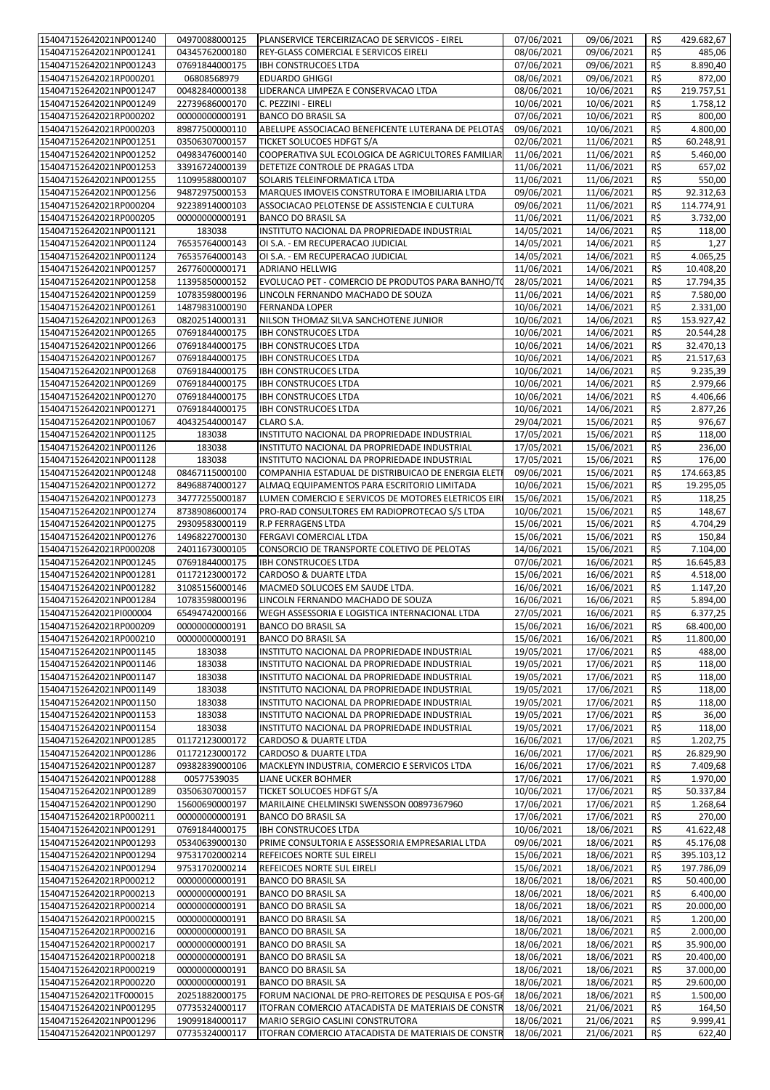| 154047152642021NP001240                            | 04970088000125                   | PLANSERVICE TERCEIRIZACAO DE SERVICOS - EIREL                        | 07/06/2021               | 09/06/2021               | R\$        | 429.682,67             |
|----------------------------------------------------|----------------------------------|----------------------------------------------------------------------|--------------------------|--------------------------|------------|------------------------|
| 154047152642021NP001241                            | 04345762000180                   | REY-GLASS COMERCIAL E SERVICOS EIRELI                                | 08/06/2021               | 09/06/2021               | R\$        | 485,06                 |
| 154047152642021NP001243                            | 07691844000175                   | <b>IBH CONSTRUCOES LTDA</b>                                          | 07/06/2021               | 09/06/2021               | R\$        | 8.890,40               |
| 154047152642021RP000201                            | 06808568979                      | <b>EDUARDO GHIGGI</b>                                                | 08/06/2021               | 09/06/2021               | R\$        | 872,00<br>219.757,51   |
| 154047152642021NP001247<br>154047152642021NP001249 | 00482840000138<br>22739686000170 | LIDERANCA LIMPEZA E CONSERVACAO LTDA<br>C. PEZZINI - EIRELI          | 08/06/2021<br>10/06/2021 | 10/06/2021<br>10/06/2021 | R\$<br>R\$ | 1.758,12               |
| 154047152642021RP000202                            | 00000000000191                   | <b>BANCO DO BRASIL SA</b>                                            | 07/06/2021               | 10/06/2021               | R\$        | 800,00                 |
| 154047152642021RP000203                            | 89877500000110                   | ABELUPE ASSOCIACAO BENEFICENTE LUTERANA DE PELOTAS                   | 09/06/2021               | 10/06/2021               | R\$        | 4.800,00               |
| 154047152642021NP001251                            | 03506307000157                   | TICKET SOLUCOES HDFGT S/A                                            | 02/06/2021               | 11/06/2021               | R\$        | 60.248,91              |
| 154047152642021NP001252                            | 04983476000140                   | COOPERATIVA SUL ECOLOGICA DE AGRICULTORES FAMILIAR                   | 11/06/2021               | 11/06/2021               | R\$        | 5.460,00               |
| 154047152642021NP001253                            | 33916724000139                   | DETETIZE CONTROLE DE PRAGAS LTDA                                     | 11/06/2021               | 11/06/2021               | R\$        | 657,02                 |
| 154047152642021NP001255                            | 11099588000107                   | SOLARIS TELEINFORMATICA LTDA                                         | 11/06/2021               | 11/06/2021               | R\$        | 550,00                 |
| 154047152642021NP001256                            | 94872975000153                   | MARQUES IMOVEIS CONSTRUTORA E IMOBILIARIA LTDA                       | 09/06/2021               | 11/06/2021               | R\$        | 92.312,63              |
| 154047152642021RP000204                            | 92238914000103                   | ASSOCIACAO PELOTENSE DE ASSISTENCIA E CULTURA                        | 09/06/2021               | 11/06/2021               | R\$        | 114.774,91             |
| 154047152642021RP000205                            | 00000000000191                   | <b>BANCO DO BRASIL SA</b>                                            | 11/06/2021               | 11/06/2021               | R\$        | 3.732,00               |
| 154047152642021NP001121                            | 183038                           | INSTITUTO NACIONAL DA PROPRIEDADE INDUSTRIAL                         | 14/05/2021               | 14/06/2021               | R\$        | 118,00                 |
| 154047152642021NP001124                            | 76535764000143                   | OI S.A. - EM RECUPERACAO JUDICIAL                                    | 14/05/2021               | 14/06/2021               | R\$        | 1,27                   |
| 154047152642021NP001124                            | 76535764000143                   | OI S.A. - EM RECUPERACAO JUDICIAL                                    | 14/05/2021               | 14/06/2021               | R\$        | 4.065,25               |
| 154047152642021NP001257                            | 26776000000171                   | <b>ADRIANO HELLWIG</b>                                               | 11/06/2021               | 14/06/2021               | R\$        | 10.408,20              |
| 154047152642021NP001258                            | 11395850000152                   | EVOLUCAO PET - COMERCIO DE PRODUTOS PARA BANHO/TO                    | 28/05/2021               | 14/06/2021               | R\$        | 17.794,35              |
| 154047152642021NP001259                            | 10783598000196                   | LINCOLN FERNANDO MACHADO DE SOUZA                                    | 11/06/2021               | 14/06/2021               | R\$        | 7.580,00               |
| 154047152642021NP001261                            | 14879831000190                   | <b>FERNANDA LOPER</b>                                                | 10/06/2021               | 14/06/2021               | R\$        | 2.331,00<br>153.927,42 |
| 154047152642021NP001263<br>154047152642021NP001265 | 08202514000131<br>07691844000175 | NILSON THOMAZ SILVA SANCHOTENE JUNIOR<br><b>IBH CONSTRUCOES LTDA</b> | 10/06/2021<br>10/06/2021 | 14/06/2021<br>14/06/2021 | R\$<br>R\$ | 20.544,28              |
| 154047152642021NP001266                            | 07691844000175                   | <b>IBH CONSTRUCOES LTDA</b>                                          | 10/06/2021               | 14/06/2021               | R\$        | 32.470,13              |
| 154047152642021NP001267                            | 07691844000175                   | <b>IBH CONSTRUCOES LTDA</b>                                          | 10/06/2021               | 14/06/2021               | R\$        | 21.517,63              |
| 154047152642021NP001268                            | 07691844000175                   | <b>IBH CONSTRUCOES LTDA</b>                                          | 10/06/2021               | 14/06/2021               | R\$        | 9.235,39               |
| 154047152642021NP001269                            | 07691844000175                   | <b>IBH CONSTRUCOES LTDA</b>                                          | 10/06/2021               | 14/06/2021               | R\$        | 2.979,66               |
| 154047152642021NP001270                            | 07691844000175                   | <b>IBH CONSTRUCOES LTDA</b>                                          | 10/06/2021               | 14/06/2021               | R\$        | 4.406,66               |
| 154047152642021NP001271                            | 07691844000175                   | <b>IBH CONSTRUCOES LTDA</b>                                          | 10/06/2021               | 14/06/2021               | R\$        | 2.877,26               |
| 154047152642021NP001067                            | 40432544000147                   | CLARO S.A.                                                           | 29/04/2021               | 15/06/2021               | R\$        | 976,67                 |
| 154047152642021NP001125                            | 183038                           | INSTITUTO NACIONAL DA PROPRIEDADE INDUSTRIAL                         | 17/05/2021               | 15/06/2021               | R\$        | 118,00                 |
| 154047152642021NP001126                            | 183038                           | INSTITUTO NACIONAL DA PROPRIEDADE INDUSTRIAL                         | 17/05/2021               | 15/06/2021               | R\$        | 236,00                 |
| 154047152642021NP001128                            | 183038                           | INSTITUTO NACIONAL DA PROPRIEDADE INDUSTRIAL                         | 17/05/2021               | 15/06/2021               | R\$        | 176,00                 |
| 154047152642021NP001248                            | 08467115000100                   | COMPANHIA ESTADUAL DE DISTRIBUICAO DE ENERGIA ELET                   | 09/06/2021               | 15/06/2021               | R\$        | 174.663,85             |
| 154047152642021NP001272                            | 84968874000127                   | ALMAQ EQUIPAMENTOS PARA ESCRITORIO LIMITADA                          | 10/06/2021               | 15/06/2021               | R\$        | 19.295,05              |
| 154047152642021NP001273                            | 34777255000187                   | LUMEN COMERCIO E SERVICOS DE MOTORES ELETRICOS EIR                   | 15/06/2021               | 15/06/2021               | R\$        | 118,25                 |
| 154047152642021NP001274                            | 87389086000174                   | PRO-RAD CONSULTORES EM RADIOPROTECAO S/S LTDA                        | 10/06/2021               | 15/06/2021               | R\$        | 148,67                 |
| 154047152642021NP001275                            | 29309583000119                   | <b>R.P FERRAGENS LTDA</b>                                            | 15/06/2021               | 15/06/2021               | R\$        | 4.704,29               |
| 154047152642021NP001276                            | 14968227000130                   | FERGAVI COMERCIAL LTDA                                               | 15/06/2021               | 15/06/2021               | R\$        | 150,84                 |
| 154047152642021RP000208                            | 24011673000105                   | CONSORCIO DE TRANSPORTE COLETIVO DE PELOTAS                          | 14/06/2021               | 15/06/2021               | R\$        | 7.104,00               |
| 154047152642021NP001245<br>154047152642021NP001281 | 07691844000175<br>01172123000172 | <b>IBH CONSTRUCOES LTDA</b><br>CARDOSO & DUARTE LTDA                 | 07/06/2021<br>15/06/2021 | 16/06/2021<br>16/06/2021 | R\$<br>R\$ | 16.645,83<br>4.518,00  |
| 154047152642021NP001282                            | 31085156000146                   | MACMED SOLUCOES EM SAUDE LTDA.                                       | 16/06/2021               | 16/06/2021               | R\$        | 1.147,20               |
| 154047152642021NP001284                            | 10783598000196                   | LINCOLN FERNANDO MACHADO DE SOUZA                                    | 16/06/2021               | 16/06/2021               | R\$        | 5.894,00               |
| 154047152642021Pl000004                            | 65494742000166                   | WEGH ASSESSORIA E LOGISTICA INTERNACIONAL LTDA                       | 27/05/2021               | 16/06/2021               | $R\zeta$   | 6.377,25               |
| 154047152642021RP000209                            | 00000000000191                   | <b>BANCO DO BRASIL SA</b>                                            | 15/06/2021               | 16/06/2021               | R\$        | 68.400,00              |
| 154047152642021RP000210                            | 00000000000191                   | <b>BANCO DO BRASIL SA</b>                                            | 15/06/2021               | 16/06/2021               | R\$        | 11.800,00              |
| 154047152642021NP001145                            | 183038                           | INSTITUTO NACIONAL DA PROPRIEDADE INDUSTRIAL                         | 19/05/2021               | 17/06/2021               | R\$        | 488,00                 |
| 154047152642021NP001146                            | 183038                           | INSTITUTO NACIONAL DA PROPRIEDADE INDUSTRIAL                         | 19/05/2021               | 17/06/2021               | R\$        | 118,00                 |
| 154047152642021NP001147                            | 183038                           | INSTITUTO NACIONAL DA PROPRIEDADE INDUSTRIAL                         | 19/05/2021               | 17/06/2021               | R\$        | 118,00                 |
| 154047152642021NP001149                            | 183038                           | INSTITUTO NACIONAL DA PROPRIEDADE INDUSTRIAL                         | 19/05/2021               | 17/06/2021               | R\$        | 118,00                 |
| 154047152642021NP001150                            | 183038                           | INSTITUTO NACIONAL DA PROPRIEDADE INDUSTRIAL                         | 19/05/2021               | 17/06/2021               | R\$        | 118,00                 |
| 154047152642021NP001153                            | 183038                           | INSTITUTO NACIONAL DA PROPRIEDADE INDUSTRIAL                         | 19/05/2021               | 17/06/2021               | R\$        | 36,00                  |
| 154047152642021NP001154                            | 183038                           | INSTITUTO NACIONAL DA PROPRIEDADE INDUSTRIAL                         | 19/05/2021               | 17/06/2021               | R\$        | 118,00                 |
| 154047152642021NP001285                            | 01172123000172                   | CARDOSO & DUARTE LTDA                                                | 16/06/2021               | 17/06/2021               | R\$        | 1.202,75               |
| 154047152642021NP001286<br>154047152642021NP001287 | 01172123000172<br>09382839000106 | CARDOSO & DUARTE LTDA                                                | 16/06/2021<br>16/06/2021 | 17/06/2021<br>17/06/2021 | R\$<br>R\$ | 26.829,90<br>7.409,68  |
| 154047152642021NP001288                            | 00577539035                      | MACKLEYN INDUSTRIA, COMERCIO E SERVICOS LTDA<br>LIANE UCKER BOHMER   | 17/06/2021               | 17/06/2021               | R\$        | 1.970,00               |
| 154047152642021NP001289                            | 03506307000157                   | <b>TICKET SOLUCOES HDFGT S/A</b>                                     | 10/06/2021               | 17/06/2021               | R\$        | 50.337,84              |
| 154047152642021NP001290                            | 15600690000197                   | MARILAINE CHELMINSKI SWENSSON 00897367960                            | 17/06/2021               | 17/06/2021               | R\$        | 1.268,64               |
| 154047152642021RP000211                            | 00000000000191                   | <b>BANCO DO BRASIL SA</b>                                            | 17/06/2021               | 17/06/2021               | R\$        | 270,00                 |
| 154047152642021NP001291                            | 07691844000175                   | <b>IBH CONSTRUCOES LTDA</b>                                          | 10/06/2021               | 18/06/2021               | R\$        | 41.622,48              |
| 154047152642021NP001293                            | 05340639000130                   | PRIME CONSULTORIA E ASSESSORIA EMPRESARIAL LTDA                      | 09/06/2021               | 18/06/2021               | R\$        | 45.176,08              |
| 154047152642021NP001294                            | 97531702000214                   | REFEICOES NORTE SUL EIRELI                                           | 15/06/2021               | 18/06/2021               | R\$        | 395.103,12             |
| 154047152642021NP001294                            | 97531702000214                   | REFEICOES NORTE SUL EIRELI                                           | 15/06/2021               | 18/06/2021               | R\$        | 197.786,09             |
| 154047152642021RP000212                            | 00000000000191                   | <b>BANCO DO BRASIL SA</b>                                            | 18/06/2021               | 18/06/2021               | R\$        | 50.400,00              |
| 154047152642021RP000213                            | 00000000000191                   | <b>BANCO DO BRASIL SA</b>                                            | 18/06/2021               | 18/06/2021               | R\$        | 6.400,00               |
| 154047152642021RP000214                            | 00000000000191                   | <b>BANCO DO BRASIL SA</b>                                            | 18/06/2021               | 18/06/2021               | R\$        | 20.000,00              |
| 154047152642021RP000215                            | 00000000000191                   | <b>BANCO DO BRASIL SA</b>                                            | 18/06/2021               | 18/06/2021               | R\$        | 1.200,00               |
| 154047152642021RP000216                            | 00000000000191                   | <b>BANCO DO BRASIL SA</b>                                            | 18/06/2021               | 18/06/2021               | R\$        | 2.000,00               |
| 154047152642021RP000217                            | 00000000000191                   | <b>BANCO DO BRASIL SA</b>                                            | 18/06/2021               | 18/06/2021               | R\$        | 35.900,00              |
| 154047152642021RP000218<br>154047152642021RP000219 | 00000000000191<br>00000000000191 | <b>BANCO DO BRASIL SA</b>                                            | 18/06/2021<br>18/06/2021 | 18/06/2021<br>18/06/2021 | R\$<br>R\$ | 20.400,00<br>37.000,00 |
| 154047152642021RP000220                            | 00000000000191                   | <b>BANCO DO BRASIL SA</b><br><b>BANCO DO BRASIL SA</b>               | 18/06/2021               | 18/06/2021               | R\$        | 29.600,00              |
| 154047152642021TF000015                            | 20251882000175                   | FORUM NACIONAL DE PRO-REITORES DE PESQUISA E POS-GF                  | 18/06/2021               | 18/06/2021               | R\$        | 1.500,00               |
| 154047152642021NP001295                            | 07735324000117                   | ITOFRAN COMERCIO ATACADISTA DE MATERIAIS DE CONSTR                   | 18/06/2021               | 21/06/2021               | R\$        | 164,50                 |
| 154047152642021NP001296                            | 19099184000117                   | MARIO SERGIO CASLINI CONSTRUTORA                                     | 18/06/2021               | 21/06/2021               | R\$        | 9.999,41               |
| 154047152642021NP001297                            | 07735324000117                   | ITOFRAN COMERCIO ATACADISTA DE MATERIAIS DE CONSTR                   | 18/06/2021               | 21/06/2021               | R\$        | 622,40                 |